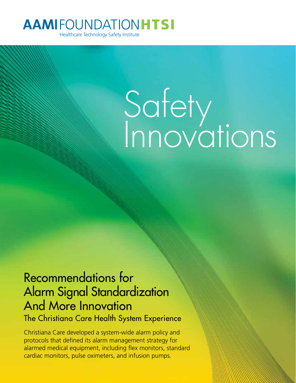# **AAMIFOUNDATIONHTSI**

Healthcare Technology Safety Institute

# Safety Innovations

# Recommendations for Alarm Signal Standardization And More Innovation The Christiana Care Health System Experience

Christiana Care developed a system-wide alarm policy and protocols that defined its alarm management strategy for alarmed medical equipment, including flex monitors, standard cardiac monitors, pulse oximeters, and infusion pumps.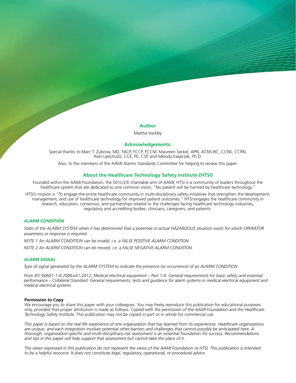#### **Author**

Martha Vockley

#### **Acknowledgements:**

Special thanks to Marc T. Zubrow, MD, FACP, FCCP, FCCM, Maureen Seckel, APN, ACNS-BC, CCNS, CCRN, Alan Lipschultz, CCE, PE, CSP, and Melody Kasprzak, Ph.D.

Also, to the members of the AAMI Alarms Standards Committee for helping to review this paper.

#### **About the Healthcare Technology Safety Institute (HTSI)**

Founded within the AAMI Foundation, the 501(c)(3) charitable arm of AAMI, HTSI is a community of leaders throughout the healthcare system that are dedicated to one common vision, "No patient will be harmed by healthcare technology."

HTSI's mission is "To engage the entire healthcare community in multi-disciplinary safety initiatives that strengthen the development, management, and use of healthcare technology for improved patient outcomes." HTSI engages the healthcare community in research, education, consensus, and partnerships related to the challenges facing healthcare technology industries, regulatory and accrediting bodies, clinicians, caregivers, and patients.

#### *ALARM CONDITION*

*State of the ALARM SYSTEM when it has determined that a potential or actual HAZARDOUS situation exists for which OPERATOR awareness or response is required.*

*NOTE 1 An ALARM CONDITION can be invalid, i.e. a FALSE POSITIVE ALARM CONDITION.*

*NOTE 2 An ALARM CONDITION can be missed, i.e. a FALSE NEGATIVE ALARM CONDITION.*

#### *ALARM SIGNAL*

*Type of signal generated by the ALARM SYSTEM to indicate the presence (or occurrence) of an ALARM CONDITION*

*From IEC 60601-1-8:2006+A1:2012, Medical electrical equipment – Part 1-8: General requirements for basic safety and essential performance – Collateral Standard: General requirements, tests and guidance for alarm systems in medical electrical equipment and medical electrical systems*

#### **Permission to Copy**

We encourage you to share this paper with your colleagues. You may freely reproduce this publication for educational purposes only, provided that proper attribution is made as follows: *Copied with the permission of the AAMI Foundation and the Healthcare Technology Safety Institute.* This publication may not be copied in part or in whole for commercial use.

*This paper is based on the real life experience of one organization that has learned from its experiences. Healthcare organizations are unique, and each integration involves potential other barriers and challenges that cannot possibly be anticipated here. A thorough, organization-specific and multi-disciplinary risk assessment is an essential foundation for success. Recommendations and tips in this paper will help support that assessment but cannot take the place of it.*

*The views expressed in this publication do not represent the views of the AAMI Foundation or HTSI. This publication is intended to be a helpful resource. It does not constitute legal, regulatory, operational, or procedural advice.*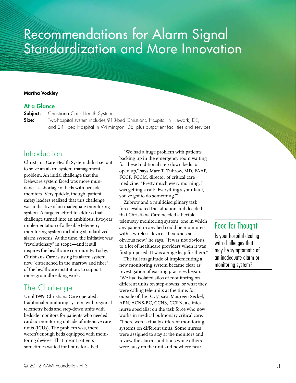# Recommendations for Alarm Signal Standardization and More Innovation

### Martha Vockley

## At a Glance

**Subject:** Christiana Care Health System

**Size:** Two-hospital system includes 913-bed Christiana Hospital in Newark, DE, and 241-bed Hospital in Wilmington, DE, plus outpatient facilities and services

# Introduction

Christiana Care Health System didn't set out to solve an alarm system management problem. An initial challenge that the Deleware system faced was more mundane—a shortage of beds with bedside monitors. Very quickly, though, patient safety leaders realized that this challenge was indicative of an inadequate monitoring system. A targeted effort to address that challenge turned into an ambitious, five-year implementation of a flexible telemetry monitoring system including standardized alarm systems. At the time, the initiative was "revolutionary" in scope—and it still inspires the healthcare community. Today, Christiana Care is using its alarm system, now "entrenched in the marrow and fiber" of the healthcare institution, to support more groundbreaking work.

# The Challenge

Until 1999, Christiana Care operated a traditional monitoring system, with regional telemetry beds and step-down units with bedside monitors for patients who needed cardiac monitoring outside of intensive care units (ICUs). The problem was, there weren't enough beds equipped with monitoring devices. That meant patients sometimes waited for hours for a bed.

"We had a huge problem with patients backing up in the emergency room waiting for these traditional step-down beds to open up," says Marc T. Zubrow, MD, FAAP, FCCP, FCCM, director of critical care medicine. "Pretty much every morning, I was getting a call: 'Everything's your fault, you've got to do something.'"

Zubrow and a multidisciplinary task force evaluated the situation and decided that Christiana Care needed a flexible telemetry monitoring system, one in which any patient in any bed could be monitored with a wireless device. "It sounds so obvious now," he says. "It was not obvious to a lot of healthcare providers when it was first proposed. It was a huge leap for them."

The full magnitude of implementing a new monitoring system became clear as investigation of existing practices began. "We had isolated silos of monitoring on different units on step-downs, or what they were calling tele-units at the time, for outside of the ICU," says Maureen Seckel, APN, ACNS-BC, CCNS, CCRN, a clinical nurse specialist on the task force who now works in medical pulmonary critical care. "There were actually different monitoring systems on different units. Some nurses were assigned to stay at the monitors and review the alarm conditions while others were busy on the unit and nowhere near

# Food for Thought

Is your hospital dealing with challenges that may be symptomatic of an inadequate alarm or monitoring system?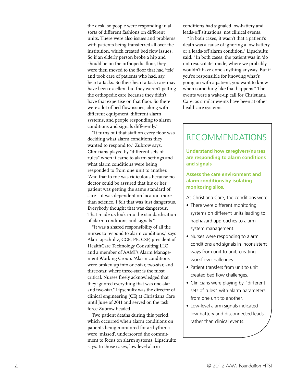the desk, so people were responding in all sorts of different fashions on different units. There were also issues and problems with patients being transferred all over the institution, which created bed flow issues. So if an elderly person broke a hip and should be on the orthopedic floor, they were then moved to the floor that had 'tele' and took care of patients who had, say, heart attacks. So their heart attack care may have been excellent but they weren't getting the orthopedic care because they didn't have that expertise on that floor. So there were a lot of bed flow issues, along with different equipment, different alarm systems, and people responding to alarm conditions and signals differently."

"It turns out that staff on every floor was deciding what alarm conditions they wanted to respond to," Zubrow says. Clinicians played by "different sets of rules" when it came to alarm settings and what alarm conditions were being responded to from one unit to another. "And that to me was ridiculous because no doctor could be assured that his or her patient was getting the same standard of care—it was dependent on location more than science. I felt that was just dangerous. Everybody thought that was dangerous. That made us look into the standardization of alarm conditions and signals."

"It was a shared responsibility of all the nurses to respond to alarm conditions," says Alan Lipschultz, CCE, PE, CSP, president of HealthCare Technology Consulting LLC and a member of AAMI's Alarm Manage ment Working Group. "Alarm conditions were broken up into one-star, two-star, and three-star, where three-star is the most critical. Nurses freely acknowledged that they ignored everything that was one-star and two-star." Lipschultz was the director of clinical engineering (CE) at Christiana Care until June of 2011 and served on the task force Zubrow headed.

Two patient deaths during this period, which occurred when alarm conditions on patients being monitored for arrhythmia were 'missed', underscored the commit ment to focus on alarm systems, Lipschultz says. In those cases, low-level alarm

conditions had signaled low-battery and leads-off situations, not clinical events.

"In both cases, it wasn't that a patient's death was a cause of ignoring a low battery or a leads-off alarm condition," Lipschultz said. "In both cases, the patient was in 'do not resuscitate' mode, where we probably wouldn't have done anything anyway. But if you're responsible for knowing what's going on with a patient, you want to know when something like that happens." The events were a wake-up call for Christiana Care, as similar events have been at other healthcare systems.

# RECOMMENDATIONS

**Understand how caregivers/nurses are responding to alarm conditions and signals**

#### **Assess the care environment and alarm conditions by isolating monitoring silos.**

At Christiana Care, the conditions were:

- There were different monitoring systems on different units leading to haphazard approaches to alarm system management.
- Nurses were responding to alarm conditions and signals in inconsistent ways from unit to unit, creating workflow challenges.
- Patient transfers from unit to unit created bed flow challenges.
- Clinicians were playing by "different sets of rules" with alarm parameters from one unit to another.
- Low-level alarm signals indicated low-battery and disconnected leads rather than clinical events.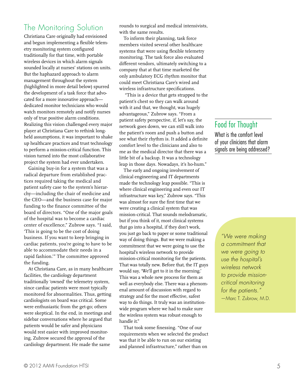# The Monitoring Solution

Christiana Care originally had envisioned and begun implementing a flexible telemetry monitoring system configured traditionally for that time, with portable wireless devices in which alarm signals sounded locally at nurses' stations on units. But the haphazard approach to alarm management throughout the system (highlighted in more detail below) spurred the development of a task force that advocated for a more innovative approach dedicated monitor technicians who would watch monitors remotely and notify nurses only of true positive alarm conditions. Realizing this vision challenged every major player at Christiana Care to rethink longheld assumptions, it was important to shake up healthcare practices and trust technology to perform a mission-critical function. This vision turned into the most collaborative project the system had ever undertaken.

Gaining buy-in for a system that was a radical departure from established practices required taking the medical and patient safety case to the system's hierarchy—including the chair of medicine and the CEO—and the business case for major funding to the finance committee of the board of directors. "One of the major goals of the hospital was to become a cardiac center of excellence," Zubrow says. "I said, 'This is going to be the cost of doing business. If you want to keep bringing in cardiac patients, you're going to have to be able to accommodate their needs in a rapid fashion.'" The committee approved the funding.

At Christiana Care, as in many healthcare facilities, the cardiology department traditionally 'owned' the telemetry system, since cardiac patients were most typically monitored for abnormalities. Thus, getting cardiologists on board was critical. Some were enthusiastic from the get-go; others were skeptical. In the end, in meetings and sidebar conversations where he argued that patients would be safer and physicians would rest easier with improved monitoring, Zubrow secured the approval of the cardiology department. He made the same

rounds to surgical and medical intensivists, with the same results.

To inform their planning, task force members visited several other healthcare systems that were using flexible telemetry monitoring. The task force also evaluated different vendors, ultimately switching to a company that at that time marketed the only ambulatory ECG rhythm monitor that could meet Christiana Care's wired and wireless infrastructure specifications.

 "This is a device that gets strapped to the patient's chest so they can walk around with it and that, we thought, was hugely advantageous," Zubrow says. "From a patient safety perspective, if, let's say, the network goes down, we can still walk into the patient's room and push a button and see what their rhythm is. It added a definite comfort level to the clinicians and also to me as the medical director that there was a little bit of a backup. It was a technology leap in those days. Nowadays, it's ho-hum."

The early and ongoing involvement of clinical engineering and IT departments made the technology leap possible. "This is where clinical engineering and even our IT infrastructure was key," Zubrow says. "This was almost for sure the first time that we were creating a clinical system that was mission-critical. That sounds melodramatic, but if you think of it, most clinical systems that go into a hospital, if they don't work, you just go back to paper or some traditional way of doing things. But we were making a commitment that we were going to use the hospital's wireless network to provide mission-critical monitoring for the patients. That was totally new. Before that, the IT guys would say, 'We'll get to it in the morning.' This was a whole new process for them as well as everybody else. There was a phenomenal amount of discussion with regard to strategy and for the most effective, safest way to do things. It truly was an institutionwide program where we had to make sure the wireless system was robust enough to handle it."

That took some finessing. "One of our requirements when we selected the product was that it be able to run on our existing and planned infrastructure," rather than on

# Food for Thought

What is the comfort level of your clinicians that alarm signals are being addressed?

> *"We were making a commitment that we were going to use the hospital's wireless network to provide missioncritical monitoring for the patients."* —Marc T. Zubrow, M.D.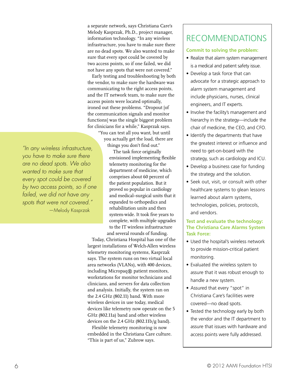a separate network, says Christiana Care's Melody Kasprzak, Ph.D., project manager, information technology. "In any wireless infrastructure, you have to make sure there are no dead spots. We also wanted to make sure that every spot could be covered by two access points, so if one failed, we did not have any spots that were not covered."

Early testing and troubleshooting by both the vendor, to make sure the hardware was communicating to the right access points, and the IT network team, to make sure the access points were located optimally, ironed out these problems. "Dropout [of the communication signals and monitor functions] was the single biggest problem for clinicians for a while," Kasprzak says.

"You can test all you want, but until you actually get the load, there are things you don't find out."

*"In any wireless infrastructure, you have to make sure there are no dead spots. We also wanted to make sure that every spot could be covered by two access points, so if one failed, we did not have any spots that were not covered."* —Melody Kasprzak

The task force originally envisioned implementing flexible telemetry monitoring for the department of medicine, which comprises about 60 percent of the patient population. But it proved so popular in cardiology and medical–surgical units that it expanded to orthopedics and rehabilitation units and then system-wide. It took five years to complete, with multiple upgrades to the IT wireless infrastructure and several rounds of funding.

Today, Christiana Hospital has one of the largest installations of Welch-Allen wireless telemetry monitoring systems, Kasprzak says. The system runs on two virtual local area networks (VLANs), with 400 devices, including Micropaq® patient monitors, workstations for monitor technicians and clinicians, and servers for data collection and analysis. Initially, the system ran on the 2.4 GHz (802.11) band. With more wireless devices in use today, medical devices like telemetry now operate on the 5 GHz (802.11a) band and other wireless devices on the 2.4 GHz (802.11b/g band).

Flexible telemetry monitoring is now embedded in the Christiana Care culture. "This is part of us," Zubrow says.

# RECOMMENDATIONS

## **Commit to solving the problem:**

- Realize that alarm system management is a medical and patient safety issue.
- Develop a task force that can advocate for a strategic approach to alarm system management and include physicians, nurses, clinical engineers, and IT experts.
- Involve the facility's management and hierarchy in the strategy—include the chair of medicine, the CEO, and CFO.
- Identify the departments that have the greatest interest or influence and need to get-on-board with the strategy, such as cardiology and ICU.
- Develop a business case for funding the strategy and the solution.
- Seek out, visit, or consult with other healthcare systems to glean lessons learned about alarm systems, technologies, policies, protocols, and vendors.

## **Test and evaluate the technology: The Christiana Care Alarms System Task Force:**

- Used the hospital's wireless network to provide mission-critical patient monitoring.
- Evaluated the wireless system to assure that it was robust enough to handle a new system.
- Assured that every "spot" in Christiana Care's facilities were covered—no dead spots.
- Tested the technology early by both the vendor and the IT department to assure that issues with hardware and access points were fully addressed.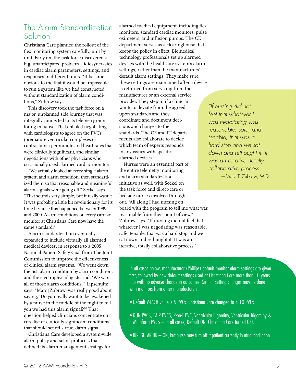# The Alarm Standardization **Solution**

Christiana Care planned the rollout of the flex monitoring system carefully, unit by unit. Early on, the task force discovered a big, unanticipated problem—idiosyncrasies in cardiac alarm parameters, settings, and responses in different units. "It became obvious to me that it would be impossible to run a system like we had constructed without standardization of alarm conditions," Zubrow says.

This discovery took the task force on a major, unplanned side journey that was integrally connected to its telemetry monitoring initiative. That entailed negotiating with cardiologists to agree on the PVCs (premature ventricular complexes or contractions) per minute and heart rates that were clinically significant, and similar negotiations with other physicians who occasionally used alarmed cardiac monitors.

"We actually looked at every single alarm system and alarm condition, then standardized them so that reasonable and meaningful alarm signals were going off," Seckel says. "That sounds very simple, but it really wasn't. It was probably a little bit revolutionary for its time because this happened between 1999 and 2000. Alarm conditions on every cardiac monitor at Christiana Care now have the same standard."

Alarm standardization eventually expanded to include virtually all alarmed medical devices, in response to a 2005 National Patient Safety Goal from The Joint Commission to improve the effectiveness of clinical alarm systems. "We went down the list, alarm condition by alarm condition, and the electrophysiologists said, 'We want all of those alarm conditions,'" Lipschultz says. "Marc [Zubrow] was really good about saying, 'Do you really want to be awakened by a nurse in the middle of the night to tell you we had this alarm signal?'" That question helped clinicians concentrate on a core list of clinically significant conditions that should set off a true alarm signal.

Christiana Care developed a system-wide alarm policy and set of protocols that defined its alarm management strategy for

alarmed medical equipment, including flex monitors, standard cardiac monitors, pulse oximeters, and infusion pumps. The CE department serves as a clearinghouse that keeps the policy in effect. Biomedical technology professionals set up alarmed devices with the healthcare system's alarm settings, rather than the manufacturers' default alarm settings. They make sure these settings are maintained after a device is returned from servicing from the manufacturer or an external service provider. They step in if a clinician wants to deviate from the agreedupon standards and they coordinate and document decisions and changes to the standards. The CE and IT departments also collaborate to decide which team of experts responds to any issues with specific alarmed devices.

Nurses were an essential part of the entire telemetry monitoring and alarm standardization initiative as well, with Seckel on the task force and direct-care or bedside nurses involved throughout. "All along I had nursing on board with the program to tell me what was reasonable from their point of view," Zubrow says. "If nursing did not feel that whatever I was negotiating was reasonable, safe, tenable, that was a hard stop and we sat down and rethought it. It was an iterative, totally collaborative process."

*"If nursing did not feel that whatever I was negotiating was reasonable, safe, and tenable, that was a hard stop and we sat down and rethought it. It was an iterative, totally collaborative process."* —Marc T. Zubrow, M.D.

In all cases below, manufacturer (Phillips) default monitor alarm settings are given first, followed by new default settings used at Christiana Care more than 10 years ago with no adverse change in outcomes. Similar setting changes may be done with monitors from other manufacturers.

- Default V-TACH value ≥ 5 PVCs. Christiana Care changed to ≥ 10 PVCs.
- RUN PVCS, PAIR PVCS, R-on-T PVC, Ventricular Bigeminy, Ventricular Trigeminy & Multiform PVCS – In all cases, Default ON. Christiana Care turned OFF.
- IRREGULAR HR ON, but nurse may turn off if patient currently in atrial fibrillation.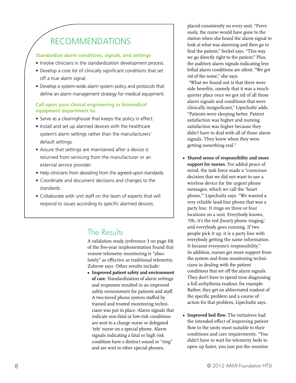# RECOMMENDATIONS

### **Standardize alarm conditions, signals, and settings**

- Involve clinicians in the standardization development process.
- Develop a core list of clinically significant conditions that set off a true alarm signal.
- Develop a system-wide alarm system policy and protocols that define an alarm management strategy for medical equipment.

## **Call upon your clinical engineering or biomedical equipment department to:**

- Serve as a clearinghouse that keeps the policy in effect.
- Install and set up alarmed devices with the healthcare system's alarm settings rather than the manufacturers' default settings.
- Assure that settings are maintained after a device is returned from servicing from the manufacturer or an external service provider.
- Help clinicians from deviating from the agreed-upon standards.
- • Coordinate and document decisions and changes to the standards.
- Collaborate with unit staff on the team of experts that will respond to issues according to specific alarmed devices.

# The Results

A validation study (reference 3 on page 10) of the five-year implementation found that remote telemetry monitoring is "absolutely" as effective as traditional telemetry, Zubrow says. Other results include:

**• Improved patient safety and environment of care.** Standardization of alarm settings and responses resulted in an improved safety environment for patients and staff. A two-tiered phone system staffed by trained and trusted monitoring technicians was put in place. Alarm signals that indicate non-fatal or low-risk conditions are sent to a charge nurse or delegated 'tele' nurse on a special phone. Alarm signals indicating a fatal or high risk condition have a distinct sound or "ring" and are sent to other special phones,

placed consistently on every unit. "Previously, the nurse would have gone to the station when she heard the alarm signal to look at what was alarming and then go to find the patient," Seckel says. "This way we go directly right to the patient." Plus, the auditory alarm signals indicating less lethal alarm conditions are silent. "We got rid of the noise," she says.

 "What we found out is that there were side benefits, namely that it was a much quieter place once we got rid of all those alarm signals and conditions that were clinically insignificant," Lipschultz adds. "Patients were sleeping better. Patient satisfaction was higher and nursing satisfaction was higher because they didn't have to deal with all of those alarm signals. They knew when they were getting something real."

- **• Shared sense of responsibility and more support for nurses.** For added peace of mind, the task force made a "conscious decision that we did not want to use a wireless device for the urgent phone messages, which we call the 'heart phone,'" Lipschultz says. "We wanted a very reliable land-line phone that was a party line. It rings on three or four locations on a unit. Everybody knows, 'Oh, it's the red (heart) phone ringing,' and everybody goes running. If two people pick it up, it is a party line with everybody getting the same information. It became everyone's responsibility." In addition, nurses get more support from the system and from monitoring technicians in dealing with the patient conditions that set off the alarm signals. They don't have to spend time diagnosing a full arrhythmia readout, for example. Rather, they get an abbreviated readout of the specific problem and a course of action for that problem, Lipschultz says.
- **• Improved bed flow.** The initiatives had the intended effect of improving patient flow to the units most suitable to their conditions and care requirements. "You didn't have to wait for telemetry beds to open up faster, you just put the monitor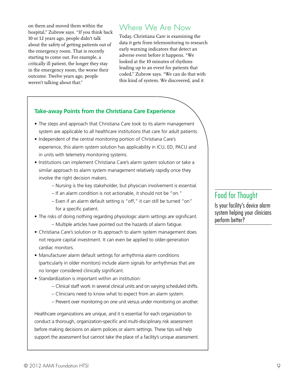on them and moved them within the hospital," Zubrow says. "If you think back 10 or 12 years ago, people didn't talk about the safety of getting patients out of the emergency room. That is recently starting to come out. For example, a critically ill patient, the longer they stay in the emergency room, the worse their outcome. Twelve years ago, people weren't talking about that."

# Where We Are Now

Today, Christiana Care is examining the data it gets from telemonitoring to research early warning indicators that detect an adverse event before it happens. "We looked at the 10 minutes of rhythms leading up to an event for patients that coded," Zubrow says. "We can do that with this kind of system. We discovered, and it

# **Take-away Points from the Christiana Care Experience**

- The steps and approach that Christiana Care took to its alarm management system are applicable to all healthcare institutions that care for adult patients.
- Independent of the central monitoring portion of Christiana Care's experience, this alarm system solution has applicability in ICU, ED, PACU and in units with telemetry monitoring systems.
- Institutions can implement Christiana Care's alarm system solution or take a similar approach to alarm system management relatively rapidly once they involve the right decision makers.
	- Nursing is the key stakeholder, but physician involvement is essential.
	- If an alarm condition is not actionable, it should not be "on."
	- Even if an alarm default setting is "off," it can still be turned "on" for a specific patient.
- The risks of doing nothing regarding physiologic alarm settings are significant. – Multiple articles have pointed out the hazards of alarm fatigue.
- Christiana Care's solution or its approach to alarm system management does not require capital investment. It can even be applied to older-generation cardiac monitors.
- Manufacturer alarm default settings for arrhythmia alarm conditions (particularly in older monitors) include alarm signals for arrhythmias that are no longer considered clinically significant.
- Standardization is important within an institution:
	- Clinical staff work in several clinical units and on varying scheduled shifts.
	- Clinicians need to know what to expect from an alarm system.
	- Prevent over monitoring on one unit versus under monitoring on another.

Healthcare organizations are unique, and it is essential for each organization to conduct a thorough, organization-specific and multi-disciplinary risk assessment before making decisions on alarm policies or alarm settings. These tips will help support the assessment but cannot take the place of a facility's unique assessment.

# Food for Thought

Is your facility's device alarm system helping your clinicians perform better?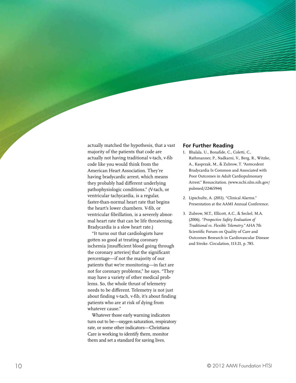actually matched the hypothesis, that a vast majority of the patients that code are actually not having traditional v-tach, v-fib code like you would think from the American Heart Association. They're having bradycardic arrest, which means they probably had different underlying pathophysiologic conditions." (V-tach, or ventricular tachycardia, is a regular, faster-than-normal heart rate that begins the heart's lower chambers. V-fib, or ventricular fibrillation, is a severely abnormal heart rate that can be life threatening. Bradycardia is a slow heart rate.)

"It turns out that cardiologists have gotten so good at treating coronary ischemia [insufficient blood going through the coronary arteries] that the significant percentage—if not the majority of our patients that we're monitoring—in fact are not for coronary problems," he says. "They may have a variety of other medical prob lems. So, the whole thrust of telemetry needs to be different. Telemetry is not just about finding v-tach, v-fib, it's about finding patients who are at risk of dying from whatever cause."

Whatever those early warning indicators turn out to be—oxygen saturation, respiratory rate, or some other indicators—Christiana Care is working to identify them, monitor them and set a standard for saving lives.

#### **For Further Reading**

- 1. Bhalala, U., Bonafide, C., Coletti, C., Rathmanner, P., Nadkarni, V., Berg, R., Witzke, A., Kasprzak, M., & Zubrow, T. "Antecedent Bradycardia Is Common and Associated with Poor Outcomes in Adult Cardiopulmonary Arrest." Resuscitation. (www.ncbi.nlm.nih.gov/ pubmed/22465944)
- 2. Lipschultz, A. (2011). "Clinical Alarms." Presentation at the AAMI Annual Conference.
- 3. Zubrow, M.T., Ellicott, A.C., & Seckel, M.A. (2006). *"Prospective Safety Evaluation of Traditional vs. Flexible Telemetry."* AHA 7th Scientific Forum on Quality of Care and Outcomes Research in Cardiovascular Disease and Stroke. Circulation, 113:21, p. 785.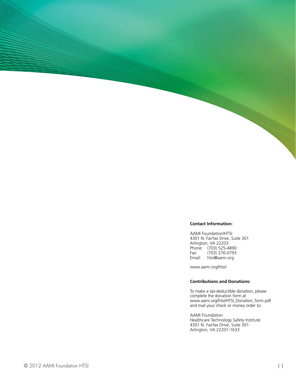#### **Contact Information:**

AAMI Foundation/HTSI 4301 N. Fairfax Drive, Suite 301 Arlington, VA 22203 Phone: (703) 525-4890<br>Fax: (703) 276-0793 Fax: (703) 276-0793 Email: htsi@aami.org

www.aami.org/htsi/

#### **Contributions and Donations:**

To make a tax-deductible donation, please complete the donation form at www.aami.org/htsi/HTSI\_Donation\_form.pdf and mail your check or money order to:

AAMI Foundation Healthcare Technology Safety Institute 4301 N. Fairfax Drive, Suite 301 Arlington, VA 22201-1633